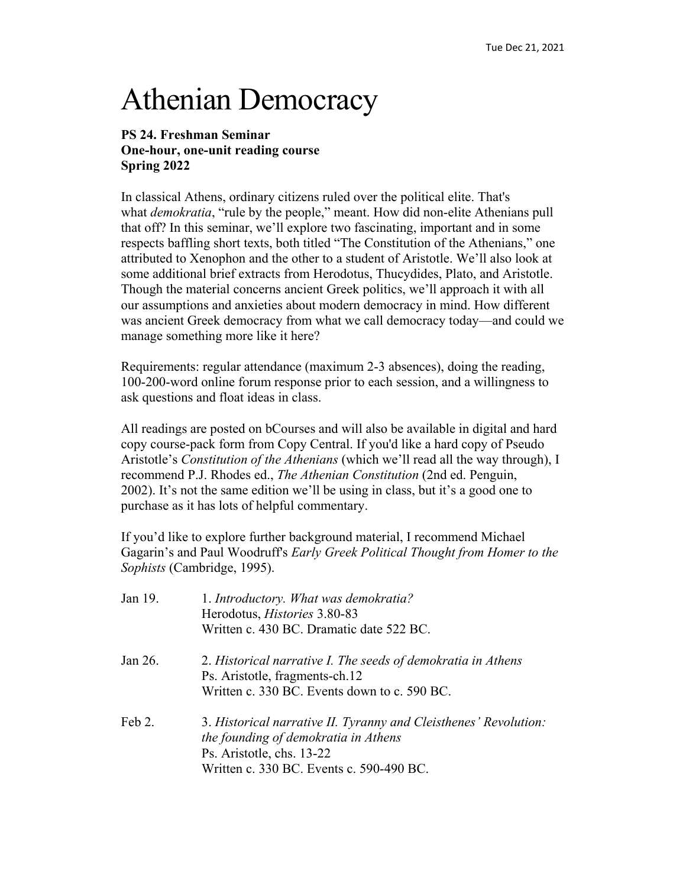## Athenian Democracy

## **PS 24. Freshman Seminar One-hour, one-unit reading course Spring 2022**

In classical Athens, ordinary citizens ruled over the political elite. That's what *demokratia*, "rule by the people," meant. How did non-elite Athenians pull that off? In this seminar, we'll explore two fascinating, important and in some respects baffling short texts, both titled "The Constitution of the Athenians," one attributed to Xenophon and the other to a student of Aristotle. We'll also look at some additional brief extracts from Herodotus, Thucydides, Plato, and Aristotle. Though the material concerns ancient Greek politics, we'll approach it with all our assumptions and anxieties about modern democracy in mind. How different was ancient Greek democracy from what we call democracy today—and could we manage something more like it here?

Requirements: regular attendance (maximum 2-3 absences), doing the reading, 100-200-word online forum response prior to each session, and a willingness to ask questions and float ideas in class.

All readings are posted on bCourses and will also be available in digital and hard copy course-pack form from Copy Central. If you'd like a hard copy of Pseudo Aristotle's *Constitution of the Athenians* (which we'll read all the way through), I recommend P.J. Rhodes ed., *The Athenian Constitution* (2nd ed. Penguin, 2002). It's not the same edition we'll be using in class, but it's a good one to purchase as it has lots of helpful commentary.

If you'd like to explore further background material, I recommend Michael Gagarin's and Paul Woodruff's *Early Greek Political Thought from Homer to the Sophists* (Cambridge, 1995).

| Jan 19. | 1. Introductory. What was demokratia?<br>Herodotus, <i>Histories</i> 3.80-83                                                          |
|---------|---------------------------------------------------------------------------------------------------------------------------------------|
|         | Written c. 430 BC. Dramatic date 522 BC.                                                                                              |
| Jan 26. | 2. Historical narrative I. The seeds of demokratia in Athens<br>Ps. Aristotle, fragments-ch.12                                        |
|         | Written c. 330 BC. Events down to c. 590 BC.                                                                                          |
| Feb 2.  | 3. Historical narrative II. Tyranny and Cleisthenes' Revolution:<br>the founding of demokratia in Athens<br>Ps. Aristotle, chs. 13-22 |
|         | Written c. 330 BC. Events c. 590-490 BC.                                                                                              |